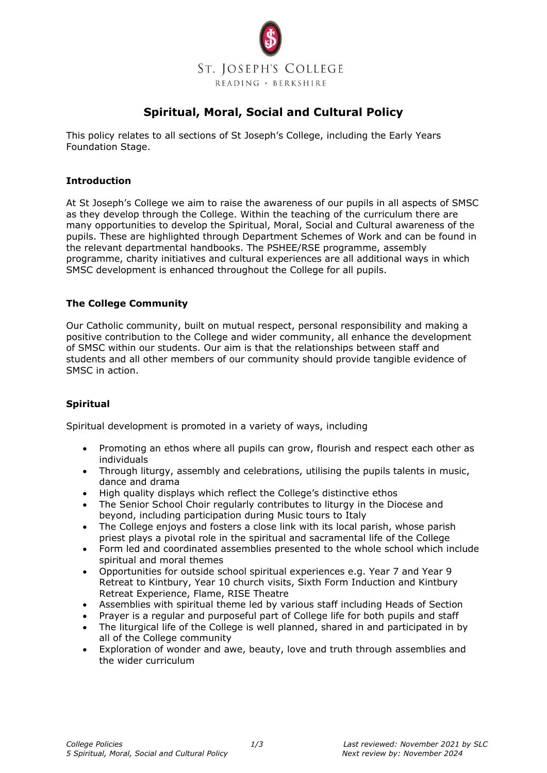

# **Spiritual, Moral, Social and Cultural Policy**

This policy relates to all sections of St Joseph's College, including the Early Years Foundation Stage.

## **Introduction**

At St Joseph's College we aim to raise the awareness of our pupils in all aspects of SMSC as they develop through the College. Within the teaching of the curriculum there are many opportunities to develop the Spiritual, Moral, Social and Cultural awareness of the pupils. These are highlighted through Department Schemes of Work and can be found in the relevant departmental handbooks. The PSHEE/RSE programme, assembly programme, charity initiatives and cultural experiences are all additional ways in which SMSC development is enhanced throughout the College for all pupils.

### **The College Community**

Our Catholic community, built on mutual respect, personal responsibility and making a positive contribution to the College and wider community, all enhance the development of SMSC within our students. Our aim is that the relationships between staff and students and all other members of our community should provide tangible evidence of SMSC in action.

# **Spiritual**

Spiritual development is promoted in a variety of ways, including

- Promoting an ethos where all pupils can grow, flourish and respect each other as individuals
- Through liturgy, assembly and celebrations, utilising the pupils talents in music, dance and drama
- High quality displays which reflect the College's distinctive ethos
- The Senior School Choir regularly contributes to liturgy in the Diocese and beyond, including participation during Music tours to Italy
- The College enjoys and fosters a close link with its local parish, whose parish priest plays a pivotal role in the spiritual and sacramental life of the College
- Form led and coordinated assemblies presented to the whole school which include spiritual and moral themes
- Opportunities for outside school spiritual experiences e.g. Year 7 and Year 9 Retreat to Kintbury, Year 10 church visits, Sixth Form Induction and Kintbury Retreat Experience, Flame, RISE Theatre
- Assemblies with spiritual theme led by various staff including Heads of Section
- Prayer is a regular and purposeful part of College life for both pupils and staff
- The liturgical life of the College is well planned, shared in and participated in by all of the College community
- Exploration of wonder and awe, beauty, love and truth through assemblies and the wider curriculum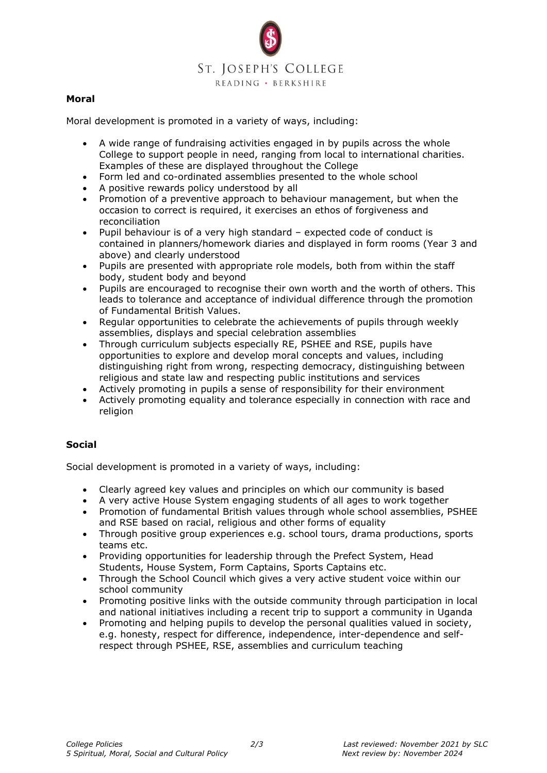

### **Moral**

Moral development is promoted in a variety of ways, including:

- A wide range of fundraising activities engaged in by pupils across the whole College to support people in need, ranging from local to international charities. Examples of these are displayed throughout the College
- Form led and co-ordinated assemblies presented to the whole school
- A positive rewards policy understood by all
- Promotion of a preventive approach to behaviour management, but when the occasion to correct is required, it exercises an ethos of forgiveness and reconciliation
- Pupil behaviour is of a very high standard expected code of conduct is contained in planners/homework diaries and displayed in form rooms (Year 3 and above) and clearly understood
- Pupils are presented with appropriate role models, both from within the staff body, student body and beyond
- Pupils are encouraged to recognise their own worth and the worth of others. This leads to tolerance and acceptance of individual difference through the promotion of Fundamental British Values.
- Regular opportunities to celebrate the achievements of pupils through weekly assemblies, displays and special celebration assemblies
- Through curriculum subjects especially RE, PSHEE and RSE, pupils have opportunities to explore and develop moral concepts and values, including distinguishing right from wrong, respecting democracy, distinguishing between religious and state law and respecting public institutions and services
- Actively promoting in pupils a sense of responsibility for their environment
- Actively promoting equality and tolerance especially in connection with race and religion

#### **Social**

Social development is promoted in a variety of ways, including:

- Clearly agreed key values and principles on which our community is based
- A very active House System engaging students of all ages to work together
- Promotion of fundamental British values through whole school assemblies, PSHEE and RSE based on racial, religious and other forms of equality
- Through positive group experiences e.g. school tours, drama productions, sports teams etc.
- Providing opportunities for leadership through the Prefect System, Head Students, House System, Form Captains, Sports Captains etc.
- Through the School Council which gives a very active student voice within our school community
- Promoting positive links with the outside community through participation in local and national initiatives including a recent trip to support a community in Uganda
- Promoting and helping pupils to develop the personal qualities valued in society, e.g. honesty, respect for difference, independence, inter-dependence and selfrespect through PSHEE, RSE, assemblies and curriculum teaching